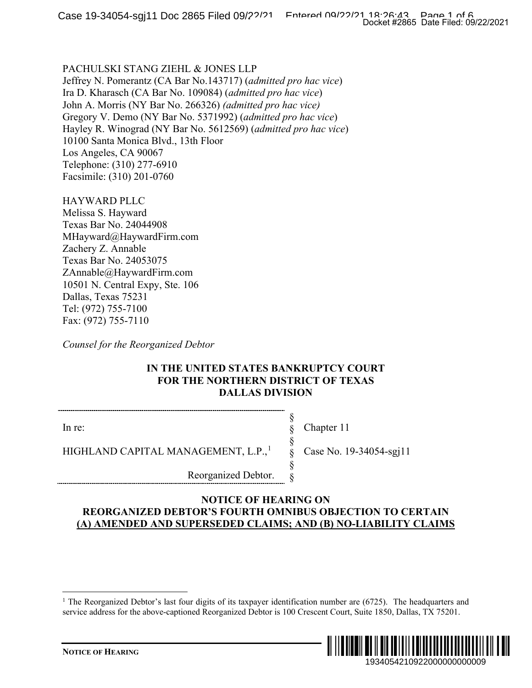## PACHULSKI STANG ZIEHL & JONES LLP

Jeffrey N. Pomerantz (CA Bar No.143717) (*admitted pro hac vice*) Ira D. Kharasch (CA Bar No. 109084) (*admitted pro hac vice*) John A. Morris (NY Bar No. 266326) *(admitted pro hac vice)* Gregory V. Demo (NY Bar No. 5371992) (*admitted pro hac vice*) Hayley R. Winograd (NY Bar No. 5612569) (*admitted pro hac vice*) 10100 Santa Monica Blvd., 13th Floor Los Angeles, CA 90067 Telephone: (310) 277-6910 Facsimile: (310) 201-0760

HAYWARD PLLC Melissa S. Hayward Texas Bar No. 24044908 MHayward@HaywardFirm.com Zachery Z. Annable Texas Bar No. 24053075 ZAnnable@HaywardFirm.com 10501 N. Central Expy, Ste. 106 Dallas, Texas 75231 Tel: (972) 755-7100 Fax: (972) 755-7110

*Counsel for the Reorganized Debtor*

## **IN THE UNITED STATES BANKRUPTCY COURT FOR THE NORTHERN DISTRICT OF TEXAS DALLAS DIVISION**

§ § § § § §

In re:

Chapter 11

Case No. 19-34054-sgj11

HIGHLAND CAPITAL MANAGEMENT, L.P.,<sup>[1](#page-0-0)</sup>

Reorganized Debtor.

### <span id="page-0-0"></span>**NOTICE OF HEARING ON REORGANIZED DEBTOR'S FOURTH OMNIBUS OBJECTION TO CERTAIN (A) AMENDED AND SUPERSEDED CLAIMS; AND (B) NO-LIABILITY CLAIMS**

<sup>&</sup>lt;sup>1</sup> The Reorganized Debtor's last four digits of its taxpayer identification number are  $(6725)$ . The headquarters and service address for the above-captioned Reorganized Debtor is 100 Crescent Court, Suite 1850, Dallas, TX 75201.

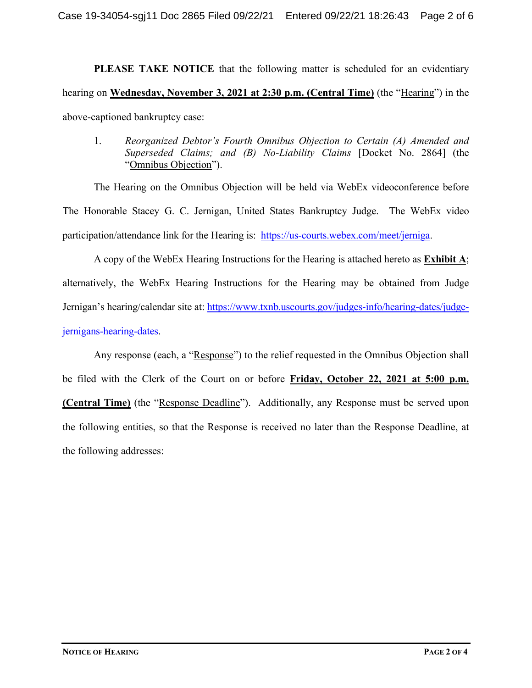**PLEASE TAKE NOTICE** that the following matter is scheduled for an evidentiary hearing on **Wednesday, November 3, 2021 at 2:30 p.m. (Central Time)** (the "Hearing") in the above-captioned bankruptcy case:

1. *Reorganized Debtor's Fourth Omnibus Objection to Certain (A) Amended and Superseded Claims; and (B) No-Liability Claims* [Docket No. 2864] (the "Omnibus Objection").

The Hearing on the Omnibus Objection will be held via WebEx videoconference before The Honorable Stacey G. C. Jernigan, United States Bankruptcy Judge. The WebEx video participation/attendance link for the Hearing is: [https://us-courts.webex.com/meet/jerniga.](https://us-courts.webex.com/meet/jerniga)

A copy of the WebEx Hearing Instructions for the Hearing is attached hereto as **Exhibit A**; alternatively, the WebEx Hearing Instructions for the Hearing may be obtained from Judge Jernigan's hearing/calendar site at: [https://www.txnb.uscourts.gov/judges-info/hearing-dates/judge](https://www.txnb.uscourts.gov/judges-info/hearing-dates/judge-jernigans-hearing-dates)[jernigans-hearing-dates.](https://www.txnb.uscourts.gov/judges-info/hearing-dates/judge-jernigans-hearing-dates)

Any response (each, a "Response") to the relief requested in the Omnibus Objection shall be filed with the Clerk of the Court on or before **Friday, October 22, 2021 at 5:00 p.m. (Central Time)** (the "Response Deadline"). Additionally, any Response must be served upon the following entities, so that the Response is received no later than the Response Deadline, at the following addresses: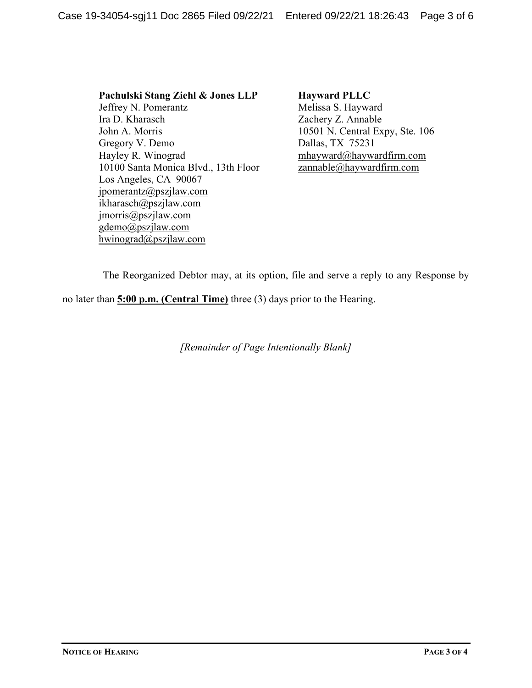**Pachulski Stang Ziehl & Jones LLP** Jeffrey N. Pomerantz Ira D. Kharasch John A. Morris Gregory V. Demo Hayley R. Winograd 10100 Santa Monica Blvd., 13th Floor Los Angeles, CA 90067 jpomerantz@pszjlaw.com ikharasch@pszjlaw.com jmorris@pszjlaw.com gdemo@pszjlaw.com hwinograd@pszjlaw.com

**Hayward PLLC** Melissa S. Hayward Zachery Z. Annable 10501 N. Central Expy, Ste. 106 Dallas, TX 75231 mhayward@haywardfirm.com zannable@haywardfirm.com

The Reorganized Debtor may, at its option, file and serve a reply to any Response by

no later than **5:00 p.m. (Central Time)** three (3) days prior to the Hearing.

*[Remainder of Page Intentionally Blank]*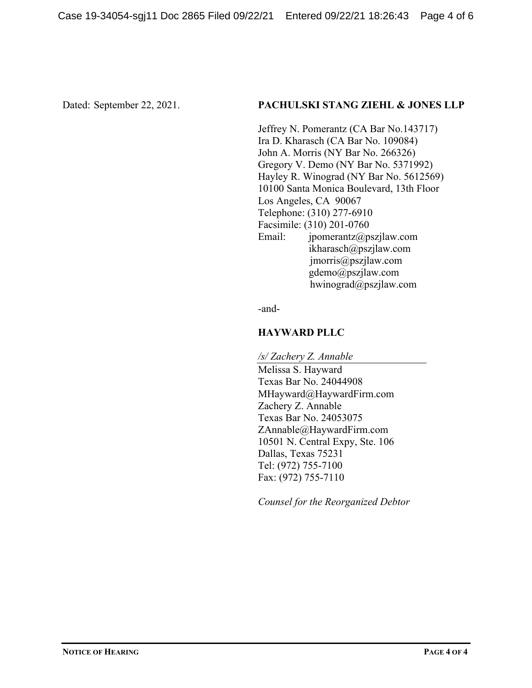### Dated: September 22, 2021. **PACHULSKI STANG ZIEHL & JONES LLP**

Jeffrey N. Pomerantz (CA Bar No.143717) Ira D. Kharasch (CA Bar No. 109084) John A. Morris (NY Bar No. 266326) Gregory V. Demo (NY Bar No. 5371992) Hayley R. Winograd (NY Bar No. 5612569) 10100 Santa Monica Boulevard, 13th Floor Los Angeles, CA 90067 Telephone: (310) 277-6910 Facsimile: (310) 201-0760 Email: jpomerantz@pszjlaw.com ikharasch@pszjlaw.com jmorris@pszjlaw.com gdemo@pszjlaw.com hwinograd@pszjlaw.com

-and-

# **HAYWARD PLLC**

*/s/ Zachery Z. Annable*

Melissa S. Hayward Texas Bar No. 24044908 MHayward@HaywardFirm.com Zachery Z. Annable Texas Bar No. 24053075 ZAnnable@HaywardFirm.com 10501 N. Central Expy, Ste. 106 Dallas, Texas 75231 Tel: (972) 755-7100 Fax: (972) 755-7110

*Counsel for the Reorganized Debtor*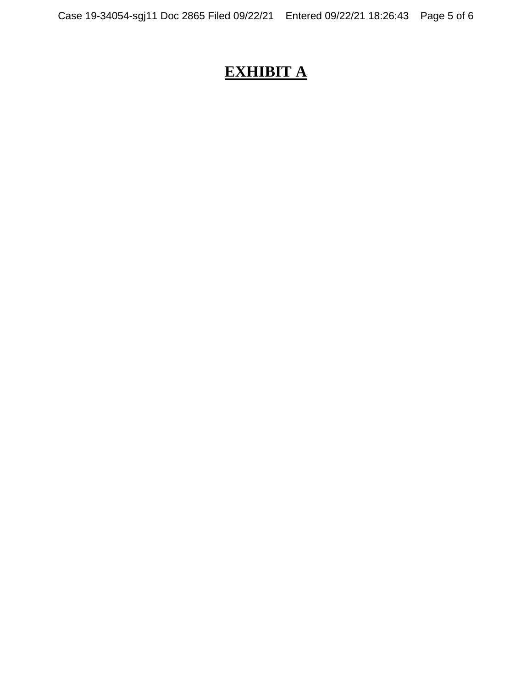# **EXHIBIT A**